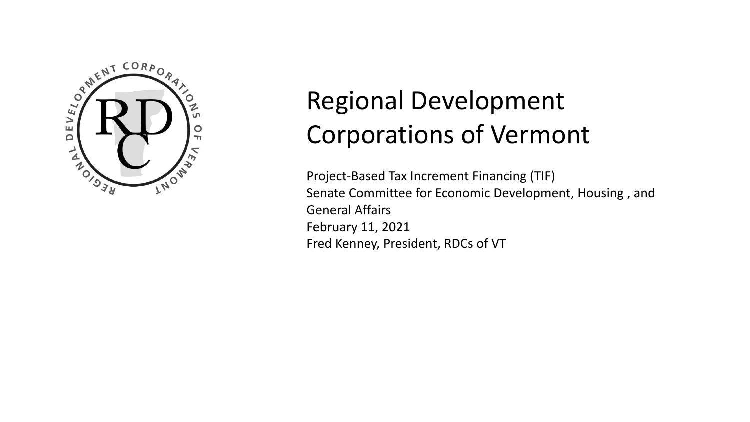

## Regional Development Corporations of Vermont

Project-Based Tax Increment Financing (TIF) Senate Committee for Economic Development, Housing , and General Affairs February 11, 2021 Fred Kenney, President, RDCs of VT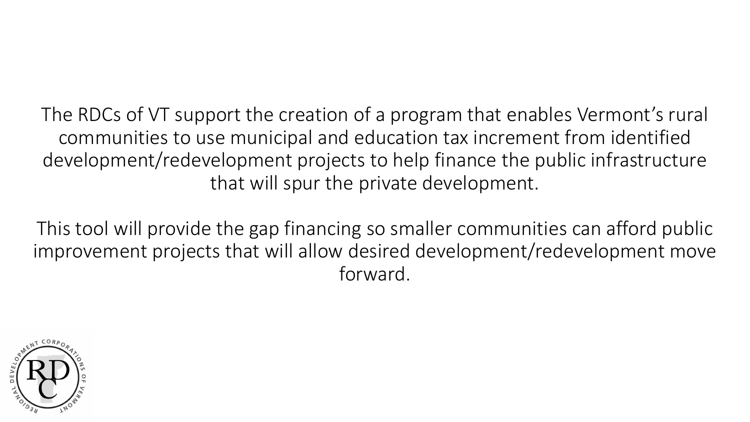The RDCs of VT support the creation of a program that enables Vermont's rural communities to use municipal and education tax increment from identified development/redevelopment projects to help finance the public infrastructure that will spur the private development.

This tool will provide the gap financing so smaller communities can afford public improvement projects that will allow desired development/redevelopment move forward.

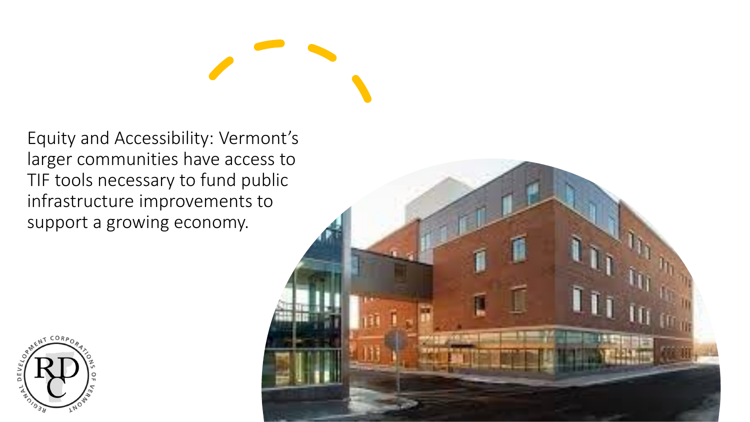Equity and Accessibility: Vermont's larger communities have access to TIF tools necessary to fund public infrastructure improvements to support a growing economy.



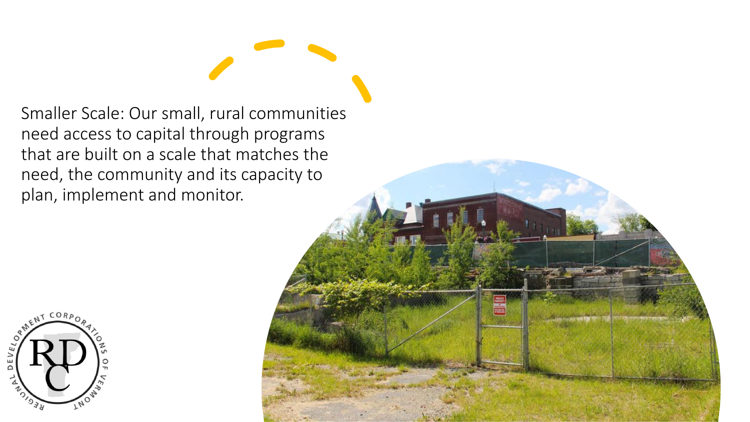Smaller Scale: Our small, rural communities need access to capital through programs that are built on a scale that matches the need, the community and its capacity to plan, implement and monitor.



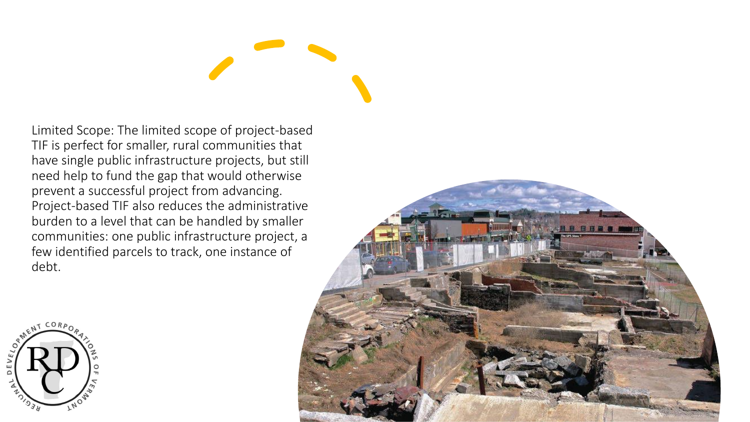Limited Scope: The limited scope of project-based TIF is perfect for smaller, rural communities that have single public infrastructure projects, but still need help to fund the gap that would otherwise prevent a successful project from advancing. Project-based TIF also reduces the administrative burden to a level that can be handled by smaller communities: one public infrastructure project, a few identified parcels to track, one instance of debt.



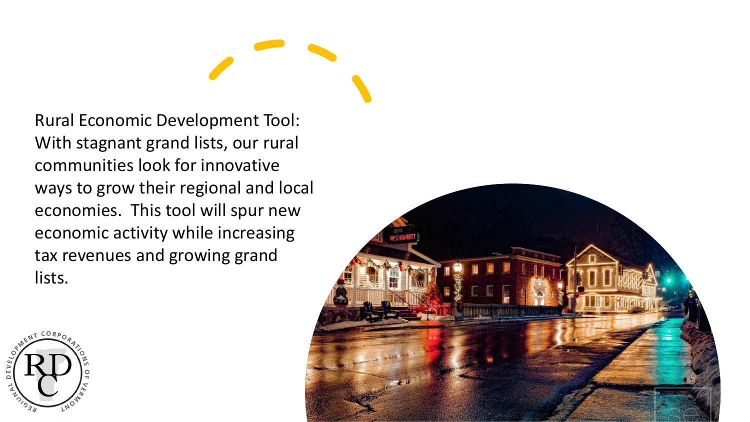Rural Economic Development Tool: With stagnant grand lists, our rural communities look for innovative ways to grow their regional and local economies. This tool will spur new economic activity while increasing tax revenues and growing grand lists.



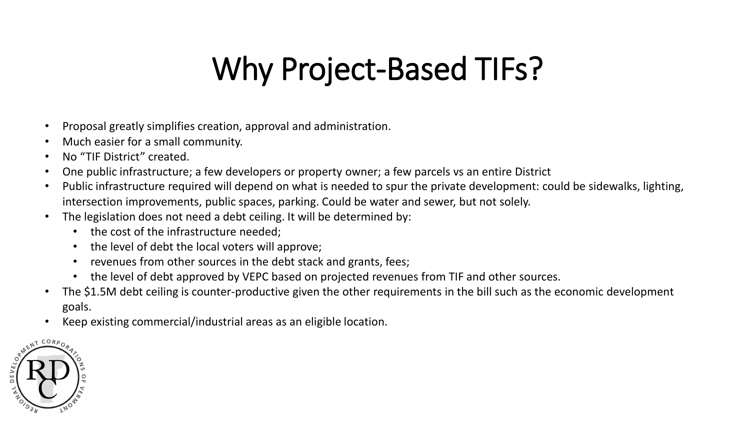## Why Project-Based TIFs?

- Proposal greatly simplifies creation, approval and administration.
- Much easier for a small community.
- No "TIF District" created.
- One public infrastructure; a few developers or property owner; a few parcels vs an entire District
- Public infrastructure required will depend on what is needed to spur the private development: could be sidewalks, lighting, intersection improvements, public spaces, parking. Could be water and sewer, but not solely.
- The legislation does not need a debt ceiling. It will be determined by:
	- the cost of the infrastructure needed;
	- the level of debt the local voters will approve;
	- revenues from other sources in the debt stack and grants, fees;
	- the level of debt approved by VEPC based on projected revenues from TIF and other sources.
- The \$1.5M debt ceiling is counter-productive given the other requirements in the bill such as the economic development goals.
- Keep existing commercial/industrial areas as an eligible location.